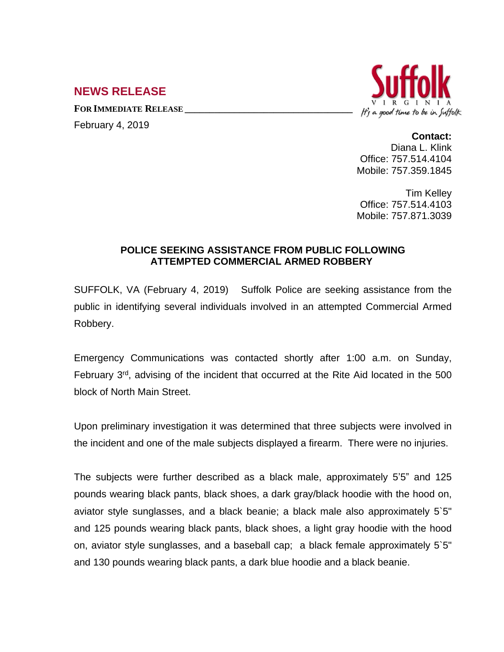## **NEWS RELEASE**

**FOR IMMEDIATE RELEASE \_\_\_\_\_\_\_\_\_\_\_\_\_\_\_\_\_\_\_\_\_\_\_\_\_\_\_\_\_\_\_\_\_\_**

February 4, 2019



## **Contact:**

Diana L. Klink Office: 757.514.4104 Mobile: 757.359.1845

Tim Kelley Office: 757.514.4103 Mobile: 757.871.3039

## **POLICE SEEKING ASSISTANCE FROM PUBLIC FOLLOWING ATTEMPTED COMMERCIAL ARMED ROBBERY**

SUFFOLK, VA (February 4, 2019) Suffolk Police are seeking assistance from the public in identifying several individuals involved in an attempted Commercial Armed Robbery.

Emergency Communications was contacted shortly after 1:00 a.m. on Sunday, February 3<sup>rd</sup>, advising of the incident that occurred at the Rite Aid located in the 500 block of North Main Street.

Upon preliminary investigation it was determined that three subjects were involved in the incident and one of the male subjects displayed a firearm. There were no injuries.

The subjects were further described as a black male, approximately 5'5" and 125 pounds wearing black pants, black shoes, a dark gray/black hoodie with the hood on, aviator style sunglasses, and a black beanie; a black male also approximately 5`5" and 125 pounds wearing black pants, black shoes, a light gray hoodie with the hood on, aviator style sunglasses, and a baseball cap; a black female approximately 5`5" and 130 pounds wearing black pants, a dark blue hoodie and a black beanie.